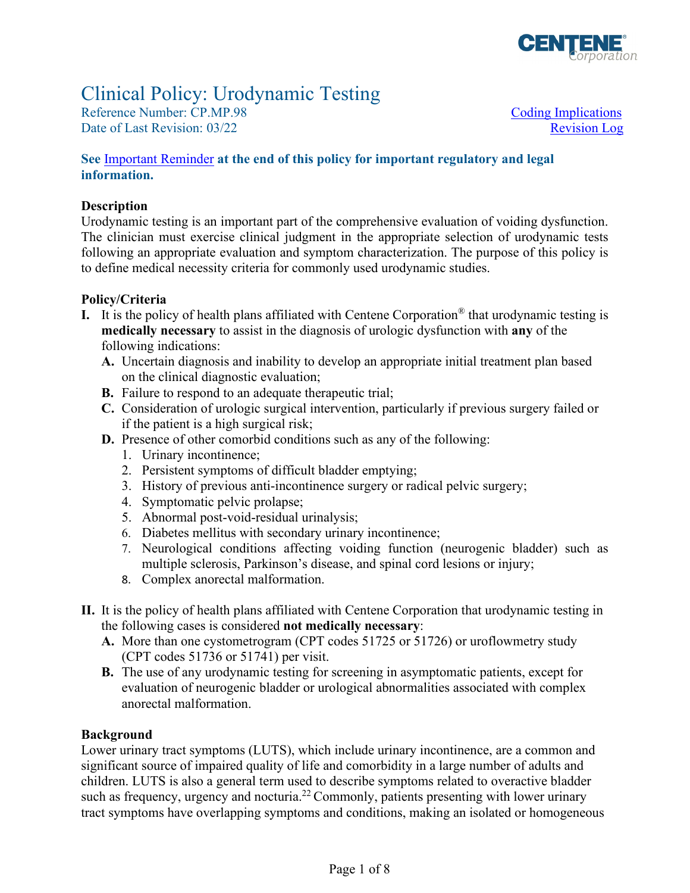

### Clinical Policy: Urodynamic Testing

Reference Number: CP.MP.98 Coding Implications Date of Last Revision: 03/22 Revision Log

#### **See** [Important Reminder](#page-6-0) **at the end of this policy for important regulatory and legal information.**

#### **Description**

 to define medical necessity criteria for commonly used urodynamic studies. Urodynamic testing is an important part of the comprehensive evaluation of voiding dysfunction. The clinician must exercise clinical judgment in the appropriate selection of urodynamic tests following an appropriate evaluation and symptom characterization. The purpose of this policy is

#### **Policy/Criteria**

- **I.** It is the policy of health plans affiliated with Centene Corporation® that urodynamic testing is **medically necessary** to assist in the diagnosis of urologic dysfunction with **any** of the following indications:
	- **A.** Uncertain diagnosis and inability to develop an appropriate initial treatment plan based on the clinical diagnostic evaluation;
	- **B.** Failure to respond to an adequate therapeutic trial;
	- **C.** Consideration of urologic surgical intervention, particularly if previous surgery failed or if the patient is a high surgical risk;
	- **D.** Presence of other comorbid conditions such as any of the following:
		- 1. Urinary incontinence;
		- 2. Persistent symptoms of difficult bladder emptying;
		- 3. History of previous anti-incontinence surgery or radical pelvic surgery;
		- 4. Symptomatic pelvic prolapse;
		- 5. Abnormal post-void-residual urinalysis;
		- 6. Diabetes mellitus with secondary urinary incontinence;
		- 7. Neurological conditions affecting voiding function (neurogenic bladder) such as multiple sclerosis, Parkinson's disease, and spinal cord lesions or injury;
		- 8. Complex anorectal malformation.
- **II.** It is the policy of health plans affiliated with Centene Corporation that urodynamic testing in the following cases is considered **not medically necessary**:
	- **A.** More than one cystometrogram (CPT codes 51725 or 51726) or uroflowmetry study (CPT codes 51736 or 51741) per visit.
	- **B.** The use of any urodynamic testing for screening in asymptomatic patients, except for evaluation of neurogenic bladder or urological abnormalities associated with complex anorectal malformation.

#### **Background**

Lower urinary tract symptoms (LUTS), which include urinary incontinence, are a common and significant source of impaired quality of life and comorbidity in a large number of adults and children. LUTS is also a general term used to describe symptoms related to overactive bladder such as frequency, urgency and nocturia.<sup>22</sup> Commonly, patients presenting with lower urinary tract symptoms have overlapping symptoms and conditions, making an isolated or homogeneous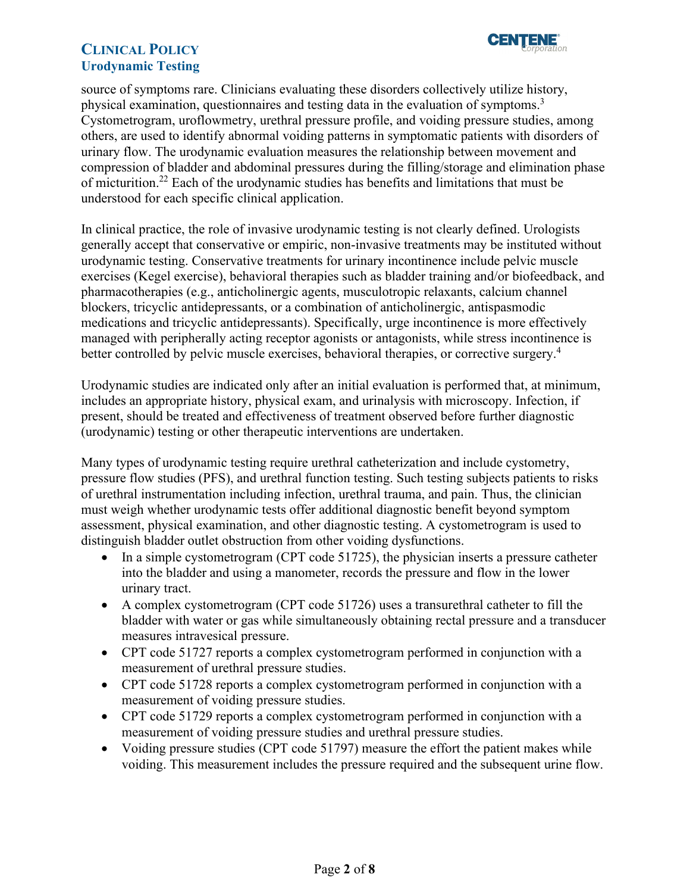

source of symptoms rare. Clinicians evaluating these disorders collectively utilize history, physical examination, questionnaires and testing data in the evaluation of symptoms.<sup>3</sup> Cystometrogram, uroflowmetry, urethral pressure profile, and voiding pressure studies, among others, are used to identify abnormal voiding patterns in symptomatic patients with disorders of urinary flow. The urodynamic evaluation measures the relationship between movement and compression of bladder and abdominal pressures during the filling/storage and elimination phase of micturition.22 Each of the urodynamic studies has benefits and limitations that must be understood for each specific clinical application.

In clinical practice, the role of invasive urodynamic testing is not clearly defined. Urologists generally accept that conservative or empiric, non-invasive treatments may be instituted without urodynamic testing. Conservative treatments for urinary incontinence include pelvic muscle exercises (Kegel exercise), behavioral therapies such as bladder training and/or biofeedback, and pharmacotherapies (e.g., anticholinergic agents, musculotropic relaxants, calcium channel blockers, tricyclic antidepressants, or a combination of anticholinergic, antispasmodic medications and tricyclic antidepressants). Specifically, urge incontinence is more effectively managed with peripherally acting receptor agonists or antagonists, while stress incontinence is better controlled by pelvic muscle exercises, behavioral therapies, or corrective surgery.<sup>4</sup>

Urodynamic studies are indicated only after an initial evaluation is performed that, at minimum, includes an appropriate history, physical exam, and urinalysis with microscopy. Infection, if present, should be treated and effectiveness of treatment observed before further diagnostic (urodynamic) testing or other therapeutic interventions are undertaken.

Many types of urodynamic testing require urethral catheterization and include cystometry, pressure flow studies (PFS), and urethral function testing. Such testing subjects patients to risks of urethral instrumentation including infection, urethral trauma, and pain. Thus, the clinician must weigh whether urodynamic tests offer additional diagnostic benefit beyond symptom assessment, physical examination, and other diagnostic testing. A cystometrogram is used to distinguish bladder outlet obstruction from other voiding dysfunctions.

- In a simple cystometrogram (CPT code 51725), the physician inserts a pressure catheter into the bladder and using a manometer, records the pressure and flow in the lower urinary tract.
- measures intravesical pressure. • A complex cystometrogram (CPT code 51726) uses a transurethral catheter to fill the bladder with water or gas while simultaneously obtaining rectal pressure and a transducer
- CPT code 51727 reports a complex cystometrogram performed in conjunction with a measurement of urethral pressure studies.
- CPT code 51728 reports a complex cystometrogram performed in conjunction with a measurement of voiding pressure studies.
- CPT code 51729 reports a complex cystometrogram performed in conjunction with a measurement of voiding pressure studies and urethral pressure studies.
- Voiding pressure studies (CPT code 51797) measure the effort the patient makes while voiding. This measurement includes the pressure required and the subsequent urine flow.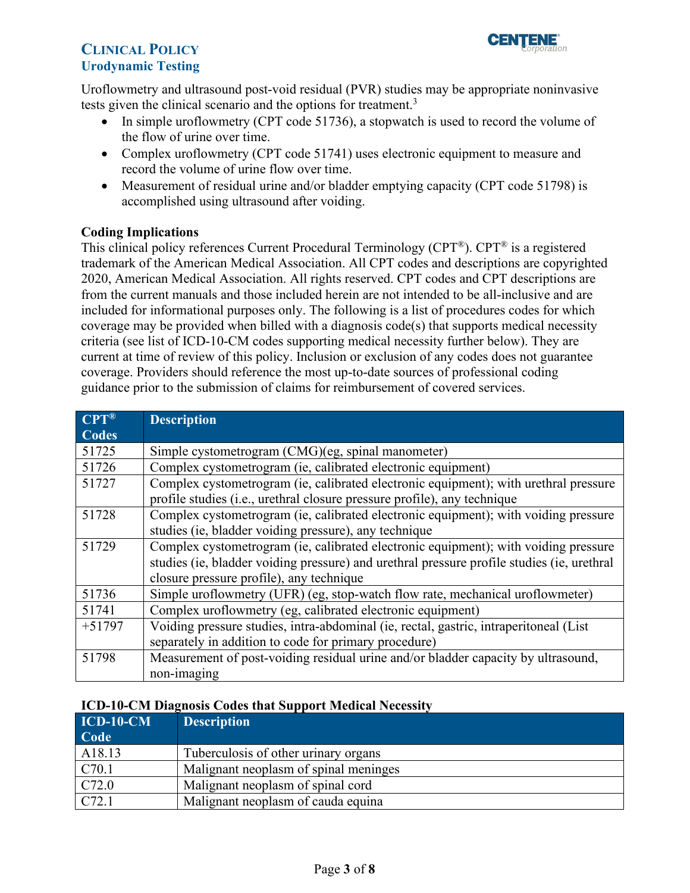

Uroflowmetry and ultrasound post-void residual (PVR) studies may be appropriate noninvasive tests given the clinical scenario and the options for treatment.<sup>3</sup>

- In simple uroflowmetry (CPT code 51736), a stopwatch is used to record the volume of the flow of urine over time.
- Complex uroflowmetry (CPT code 51741) uses electronic equipment to measure and record the volume of urine flow over time.
- Measurement of residual urine and/or bladder emptying capacity (CPT code 51798) is accomplished using ultrasound after voiding.

#### <span id="page-2-0"></span>**Coding Implications**

This clinical policy references Current Procedural Terminology (CPT®). CPT® is a registered trademark of the American Medical Association. All CPT codes and descriptions are copyrighted 2020, American Medical Association. All rights reserved. CPT codes and CPT descriptions are from the current manuals and those included herein are not intended to be all-inclusive and are included for informational purposes only. The following is a list of procedures codes for which coverage may be provided when billed with a diagnosis code(s) that supports medical necessity criteria (see list of ICD-10-CM codes supporting medical necessity further below). They are current at time of review of this policy. Inclusion or exclusion of any codes does not guarantee coverage. Providers should reference the most up-to-date sources of professional coding guidance prior to the submission of claims for reimbursement of covered services.

| $CPT^{\circledR}$ | <b>Description</b>                                                                         |
|-------------------|--------------------------------------------------------------------------------------------|
| <b>Codes</b>      |                                                                                            |
| 51725             | Simple cystometrogram (CMG)(eg, spinal manometer)                                          |
| 51726             | Complex cystometrogram (ie, calibrated electronic equipment)                               |
| 51727             | Complex cystometrogram (ie, calibrated electronic equipment); with urethral pressure       |
|                   | profile studies (i.e., urethral closure pressure profile), any technique                   |
| 51728             | Complex cystometrogram (ie, calibrated electronic equipment); with voiding pressure        |
|                   | studies (ie, bladder voiding pressure), any technique                                      |
| 51729             | Complex cystometrogram (ie, calibrated electronic equipment); with voiding pressure        |
|                   | studies (ie, bladder voiding pressure) and urethral pressure profile studies (ie, urethral |
|                   | closure pressure profile), any technique                                                   |
| 51736             | Simple uroflowmetry (UFR) (eg, stop-watch flow rate, mechanical uroflowmeter)              |
| 51741             | Complex uroflowmetry (eg, calibrated electronic equipment)                                 |
| $+51797$          | Voiding pressure studies, intra-abdominal (ie, rectal, gastric, intraperitoneal (List)     |
|                   | separately in addition to code for primary procedure)                                      |
| 51798             | Measurement of post-voiding residual urine and/or bladder capacity by ultrasound,          |
|                   | non-imaging                                                                                |

#### **ICD-10-CM Diagnosis Codes that Support Medical Necessity**

| $ICD-10-CM$<br>Code | <b>Description</b>                    |
|---------------------|---------------------------------------|
| A18.13              | Tuberculosis of other urinary organs  |
| C70.1               | Malignant neoplasm of spinal meninges |
| C72.0               | Malignant neoplasm of spinal cord     |
| C72.1               | Malignant neoplasm of cauda equina    |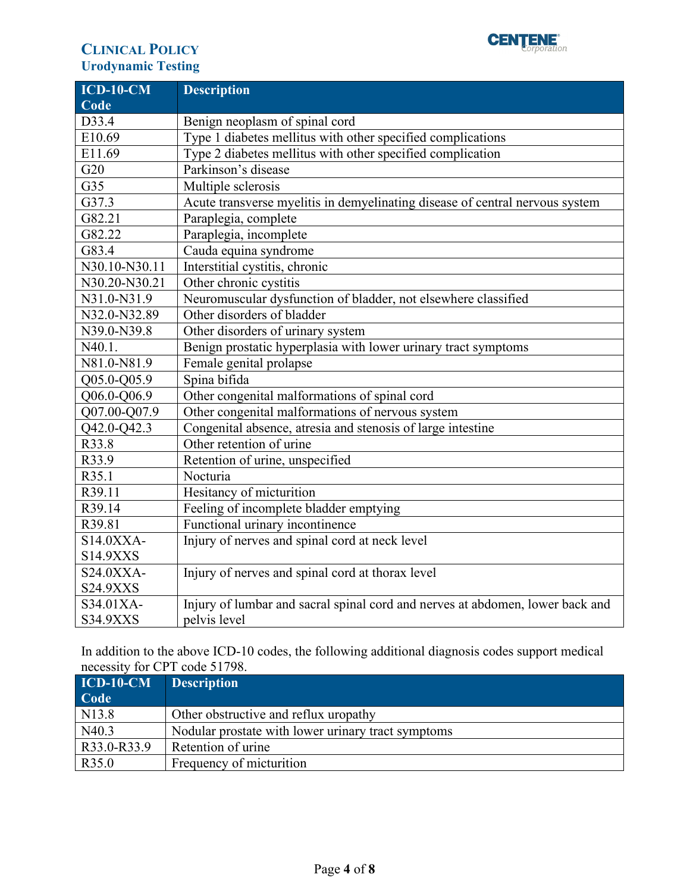### **CLINICAL POLICY CLINICAL EVALUATE:** Urodynamic Testing

| $ICD-10-CM$     | <b>Description</b>                                                            |
|-----------------|-------------------------------------------------------------------------------|
| Code            |                                                                               |
| D33.4           | Benign neoplasm of spinal cord                                                |
| E10.69          | Type 1 diabetes mellitus with other specified complications                   |
| E11.69          | Type 2 diabetes mellitus with other specified complication                    |
| G20             | Parkinson's disease                                                           |
| G35             | Multiple sclerosis                                                            |
| G37.3           | Acute transverse myelitis in demyelinating disease of central nervous system  |
| G82.21          | Paraplegia, complete                                                          |
| G82.22          | Paraplegia, incomplete                                                        |
| G83.4           | Cauda equina syndrome                                                         |
| N30.10-N30.11   | Interstitial cystitis, chronic                                                |
| N30.20-N30.21   | Other chronic cystitis                                                        |
| N31.0-N31.9     | Neuromuscular dysfunction of bladder, not elsewhere classified                |
| N32.0-N32.89    | Other disorders of bladder                                                    |
| N39.0-N39.8     | Other disorders of urinary system                                             |
| N40.1.          | Benign prostatic hyperplasia with lower urinary tract symptoms                |
| N81.0-N81.9     | Female genital prolapse                                                       |
| Q05.0-Q05.9     | Spina bifida                                                                  |
| Q06.0-Q06.9     | Other congenital malformations of spinal cord                                 |
| Q07.00-Q07.9    | Other congenital malformations of nervous system                              |
| Q42.0-Q42.3     | Congenital absence, atresia and stenosis of large intestine                   |
| R33.8           | Other retention of urine                                                      |
| R33.9           | Retention of urine, unspecified                                               |
| R35.1           | Nocturia                                                                      |
| R39.11          | Hesitancy of micturition                                                      |
| R39.14          | Feeling of incomplete bladder emptying                                        |
| R39.81          | Functional urinary incontinence                                               |
| S14.0XXA-       | Injury of nerves and spinal cord at neck level                                |
| <b>S14.9XXS</b> |                                                                               |
| S24.0XXA-       | Injury of nerves and spinal cord at thorax level                              |
| <b>S24.9XXS</b> |                                                                               |
| S34.01XA-       | Injury of lumbar and sacral spinal cord and nerves at abdomen, lower back and |
| <b>S34.9XXS</b> | pelvis level                                                                  |

In addition to the above ICD-10 codes, the following additional diagnosis codes support medical necessity for CPT code 51798.

| $\overline{ICD-10\text{-}CM}$ | <b>Description</b>                                 |
|-------------------------------|----------------------------------------------------|
| Code                          |                                                    |
| N <sub>1</sub> 3.8            | Other obstructive and reflux uropathy              |
| N40.3                         | Nodular prostate with lower urinary tract symptoms |
| R33.0-R33.9                   | Retention of urine                                 |
| R35.0                         | Frequency of micturition                           |

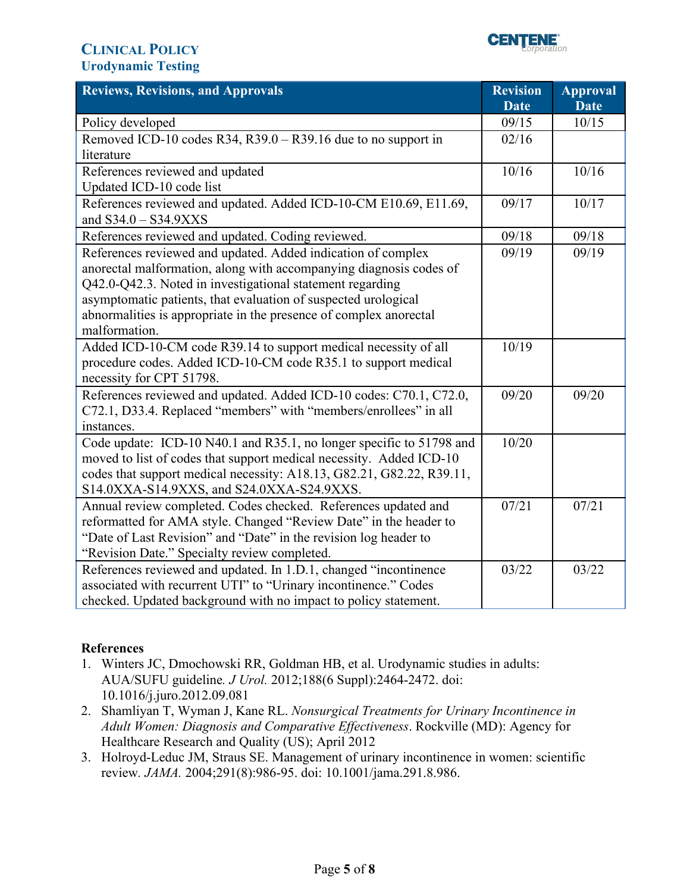

<span id="page-4-0"></span>

| <b>Reviews, Revisions, and Approvals</b><br><b>Revision</b>                                                      | <b>Approval</b>      |
|------------------------------------------------------------------------------------------------------------------|----------------------|
| <b>Date</b><br>09/15                                                                                             | <b>Date</b><br>10/15 |
| Policy developed<br>Removed ICD-10 codes R34, R39.0 - R39.16 due to no support in<br>02/16                       |                      |
| literature                                                                                                       |                      |
| 10/16<br>References reviewed and updated                                                                         | 10/16                |
| Updated ICD-10 code list                                                                                         |                      |
| References reviewed and updated. Added ICD-10-CM E10.69, E11.69,<br>09/17                                        | 10/17                |
| and S34.0 - S34.9XXS                                                                                             |                      |
| References reviewed and updated. Coding reviewed.<br>09/18                                                       | 09/18                |
| References reviewed and updated. Added indication of complex<br>09/19                                            | 09/19                |
| anorectal malformation, along with accompanying diagnosis codes of                                               |                      |
| Q42.0-Q42.3. Noted in investigational statement regarding                                                        |                      |
| asymptomatic patients, that evaluation of suspected urological                                                   |                      |
| abnormalities is appropriate in the presence of complex anorectal                                                |                      |
| malformation.                                                                                                    |                      |
| Added ICD-10-CM code R39.14 to support medical necessity of all<br>10/19                                         |                      |
| procedure codes. Added ICD-10-CM code R35.1 to support medical                                                   |                      |
| necessity for CPT 51798.                                                                                         |                      |
| References reviewed and updated. Added ICD-10 codes: C70.1, C72.0,<br>09/20                                      | 09/20                |
| C72.1, D33.4. Replaced "members" with "members/enrollees" in all                                                 |                      |
| instances.                                                                                                       |                      |
| Code update: ICD-10 N40.1 and R35.1, no longer specific to 51798 and<br>10/20                                    |                      |
| moved to list of codes that support medical necessity. Added ICD-10                                              |                      |
| codes that support medical necessity: A18.13, G82.21, G82.22, R39.11,                                            |                      |
| S14.0XXA-S14.9XXS, and S24.0XXA-S24.9XXS.                                                                        |                      |
| 07/21<br>Annual review completed. Codes checked. References updated and                                          | 07/21                |
| reformatted for AMA style. Changed "Review Date" in the header to                                                |                      |
| "Date of Last Revision" and "Date" in the revision log header to<br>"Revision Date." Specialty review completed. |                      |
| References reviewed and updated. In 1.D.1, changed "incontinence<br>03/22                                        | 03/22                |
| associated with recurrent UTI" to "Urinary incontinence." Codes                                                  |                      |
| checked. Updated background with no impact to policy statement.                                                  |                      |

#### **References**

- 1. Winters JC, Dmochowski RR, Goldman HB, et al. Urodynamic studies in adults: AUA/SUFU guideline*. J Urol.* 2012;188(6 Suppl):2464-2472. doi: 10.1016/j.juro.2012.09.081
- 2. Shamliyan T, Wyman J, Kane RL. *Nonsurgical Treatments for Urinary Incontinence in Adult Women: Diagnosis and Comparative Effectiveness*. Rockville (MD): Agency for Healthcare Research and Quality (US); April 2012
- 3. Holroyd-Leduc JM, Straus SE. Management of urinary incontinence in women: scientific review*. JAMA.* 2004;291(8):986-95. doi: 10.1001/jama.291.8.986.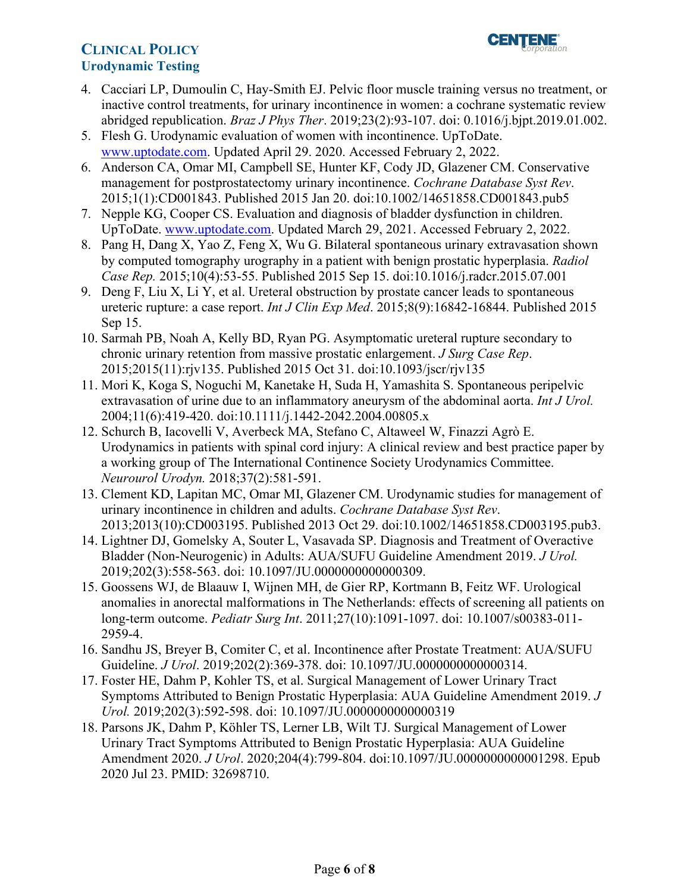- 4. Cacciari LP, Dumoulin C, Hay-Smith EJ. Pelvic floor muscle training versus no treatment, or inactive control treatments, for urinary incontinence in women: a cochrane systematic review abridged republication. *Braz J Phys Ther*. 2019;23(2):93-107. doi: 0.1016/j.bjpt.2019.01.002.
- 5. Flesh G. Urodynamic evaluation of women with incontinence. UpToDate. [www.uptodate.com.](http://www.uptodate.com/) Updated April 29. 2020. Accessed February 2, 2022.
- 6. Anderson CA, Omar MI, Campbell SE, Hunter KF, Cody JD, Glazener CM. Conservative management for postprostatectomy urinary incontinence. *Cochrane Database Syst Rev*. 2015;1(1):CD001843. Published 2015 Jan 20. doi:10.1002/14651858.CD001843.pub5
- 7. Nepple KG, Cooper CS. Evaluation and diagnosis of bladder dysfunction in children. UpToDate. [www.uptodate.com.](http://www.uptodate.com/) Updated March 29, 2021. Accessed February 2, 2022.
- 8. Pang H, Dang X, Yao Z, Feng X, Wu G. Bilateral spontaneous urinary extravasation shown by computed tomography urography in a patient with benign prostatic hyperplasia. *Radiol Case Rep.* 2015;10(4):53-55. Published 2015 Sep 15. doi:10.1016/j.radcr.2015.07.001
- 9. Deng F, Liu X, Li Y, et al. Ureteral obstruction by prostate cancer leads to spontaneous ureteric rupture: a case report. *Int J Clin Exp Med*. 2015;8(9):16842-16844. Published 2015 Sep 15.
- 10. Sarmah PB, Noah A, Kelly BD, Ryan PG. Asymptomatic ureteral rupture secondary to chronic urinary retention from massive prostatic enlargement. *J Surg Case Rep*. 2015;2015(11):rjv135. Published 2015 Oct 31. doi:10.1093/jscr/rjv135
- 11. Mori K, Koga S, Noguchi M, Kanetake H, Suda H, Yamashita S. Spontaneous peripelvic extravasation of urine due to an inflammatory aneurysm of the abdominal aorta. *Int J Urol.*  2004;11(6):419-420. doi:10.1111/j.1442-2042.2004.00805.x
- 12. Schurch B, Iacovelli V, Averbeck MA, Stefano C, Altaweel W, Finazzi Agrò E. Urodynamics in patients with spinal cord injury: A clinical review and best practice paper by a working group of The International Continence Society Urodynamics Committee. *Neurourol Urodyn.* 2018;37(2):581-591.
- 13. Clement KD, Lapitan MC, Omar MI, Glazener CM. Urodynamic studies for management of urinary incontinence in children and adults. *Cochrane Database Syst Rev*. 2013;2013(10):CD003195. Published 2013 Oct 29. doi:10.1002/14651858.CD003195.pub3.
- 14. Lightner DJ, Gomelsky A, Souter L, Vasavada SP. Diagnosis and Treatment of Overactive Bladder (Non-Neurogenic) in Adults: AUA/SUFU Guideline Amendment 2019. *J Urol.*  2019;202(3):558-563. doi: 10.1097/JU.0000000000000309.
- 15. Goossens WJ, de Blaauw I, Wijnen MH, de Gier RP, Kortmann B, Feitz WF. Urological anomalies in anorectal malformations in The Netherlands: effects of screening all patients on long-term outcome. *Pediatr Surg Int*. 2011;27(10):1091-1097. doi: 10.1007/s00383-011- 2959-4.
- 16. Sandhu JS, Breyer B, Comiter C, et al. Incontinence after Prostate Treatment: AUA/SUFU Guideline. *J Urol*. 2019;202(2):369-378. doi: 10.1097/JU.0000000000000314.
- 17. Foster HE, Dahm P, Kohler TS, et al. Surgical Management of Lower Urinary Tract Symptoms Attributed to Benign Prostatic Hyperplasia: AUA Guideline Amendment 2019. *J Urol.* 2019;202(3):592-598. doi: 10.1097/JU.0000000000000319
- 18. Parsons JK, Dahm P, Köhler TS, Lerner LB, Wilt TJ. Surgical Management of Lower Urinary Tract Symptoms Attributed to Benign Prostatic Hyperplasia: AUA Guideline Amendment 2020. *J Urol*. 2020;204(4):799-804. doi:10.1097/JU.0000000000001298. Epub 2020 Jul 23. PMID: 32698710.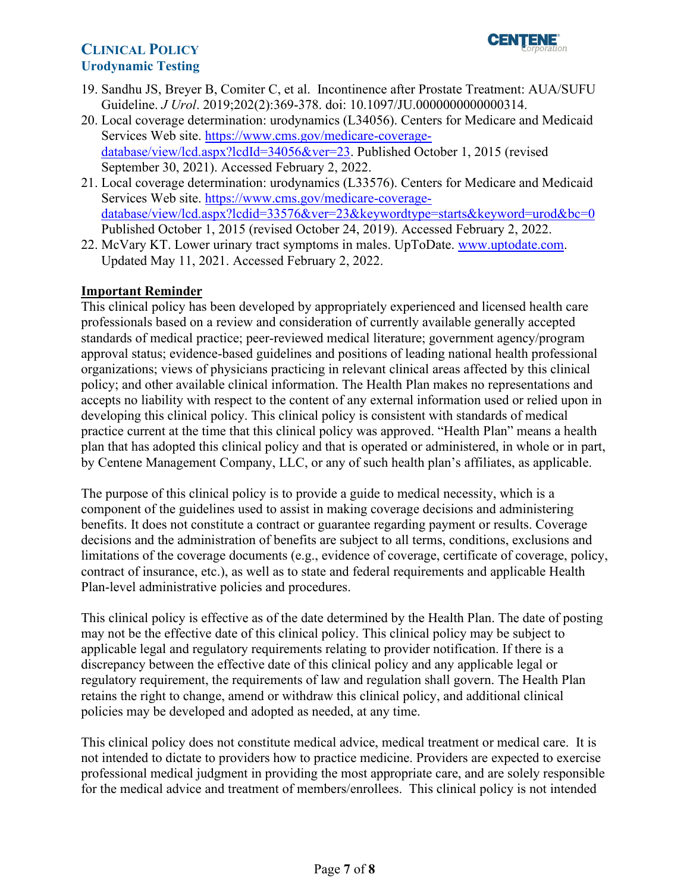

- 19. Sandhu JS, Breyer B, Comiter C, et al. Incontinence after Prostate Treatment: AUA/SUFU Guideline. *J Urol*. 2019;202(2):369-378. doi: 10.1097/JU.0000000000000314.
- 20. Local coverage determination: urodynamics (L34056). Centers for Medicare and Medicaid Services Web site. [https://www.cms.gov/medicare-coverage](https://www.cms.gov/medicare-coverage-database/view/lcd.aspx?lcdId=34056&ver=23)[database/view/lcd.aspx?lcdId=34056&ver=23.](https://www.cms.gov/medicare-coverage-database/view/lcd.aspx?lcdId=34056&ver=23) Published October 1, 2015 (revised September 30, 2021). Accessed February 2, 2022.
- 21. Local coverage determination: urodynamics (L33576). Centers for Medicare and Medicaid Services Web site. [https://www.cms.gov/medicare-coverage](https://www.cms.gov/medicare-coverage-database/view/lcd.aspx?lcdid=33576&ver=23&keywordtype=starts&keyword=urod&bc=0)database/view/lcd.aspx?lcdid=33576&ver=23&keywordtype=starts&keyword=urod&bc=0 Published October 1, 2015 (revised October 24, 2019). Accessed February 2, 2022.
- 22. McVary KT. Lower urinary tract symptoms in males. UpToDate. [www.uptodate.com.](http://www.uptodate.com/) Updated May 11, 2021. Accessed February 2, 2022.

#### <span id="page-6-0"></span>**Important Reminder**

This clinical policy has been developed by appropriately experienced and licensed health care professionals based on a review and consideration of currently available generally accepted standards of medical practice; peer-reviewed medical literature; government agency/program approval status; evidence-based guidelines and positions of leading national health professional organizations; views of physicians practicing in relevant clinical areas affected by this clinical policy; and other available clinical information. The Health Plan makes no representations and accepts no liability with respect to the content of any external information used or relied upon in developing this clinical policy. This clinical policy is consistent with standards of medical practice current at the time that this clinical policy was approved. "Health Plan" means a health plan that has adopted this clinical policy and that is operated or administered, in whole or in part, by Centene Management Company, LLC, or any of such health plan's affiliates, as applicable.

The purpose of this clinical policy is to provide a guide to medical necessity, which is a component of the guidelines used to assist in making coverage decisions and administering benefits. It does not constitute a contract or guarantee regarding payment or results. Coverage decisions and the administration of benefits are subject to all terms, conditions, exclusions and limitations of the coverage documents (e.g., evidence of coverage, certificate of coverage, policy, contract of insurance, etc.), as well as to state and federal requirements and applicable Health Plan-level administrative policies and procedures.

 applicable legal and regulatory requirements relating to provider notification. If there is a This clinical policy is effective as of the date determined by the Health Plan. The date of posting may not be the effective date of this clinical policy. This clinical policy may be subject to discrepancy between the effective date of this clinical policy and any applicable legal or regulatory requirement, the requirements of law and regulation shall govern. The Health Plan retains the right to change, amend or withdraw this clinical policy, and additional clinical policies may be developed and adopted as needed, at any time.

 This clinical policy does not constitute medical advice, medical treatment or medical care. It is not intended to dictate to providers how to practice medicine. Providers are expected to exercise professional medical judgment in providing the most appropriate care, and are solely responsible for the medical advice and treatment of members/enrollees. This clinical policy is not intended